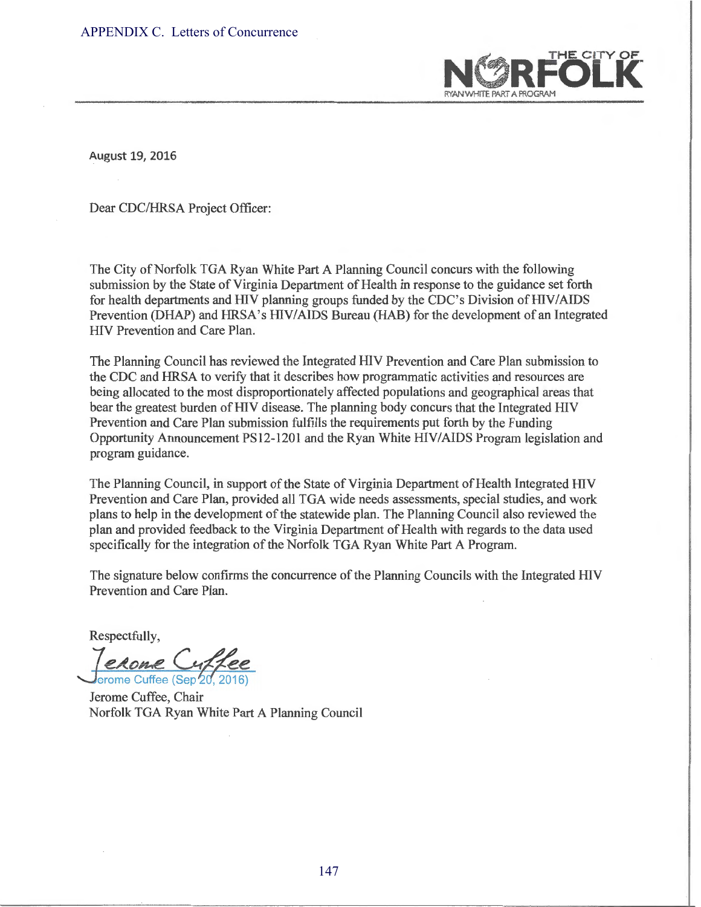

August 19, 2016

Dear CDC/HRSA Project Officer:

The City of Norfolk TGA Ryan White Part A Planning Council concurs with the following submission by the State of Virginia Department of Health in response to the guidance set forth for health departments and HIV planning groups funded by the CDC's Division of HIV/AIDS Prevention (DHAP) and HRSA's HIV/AIDS Bureau (HAB) for the development of an Integrated HIV Prevention and Care Plan.

The Planning Council has reviewed the Integrated HIV Prevention and Care Plan submission to the CDC and HRSA to verify that it describes how programmatic activities and resources are being allocated to the most disproportionately affected populations and geographical areas that bear the greatest burden of HIV disease. The planning body concurs that the Integrated HIV Prevention and Care Plan submission fulfills the requirements put forth by the Funding Opportunity Announcement PS12-1201 and the Ryan White HIV/AIDS Program legislation and program guidance.

The Planning Council, in support of the State of Virginia Department of Health Integrated HIV Prevention and Care Plan, provided all TGA wide needs assessments, special studies, and work plans to help in the development of the statewide plan. The Planning Council also reviewed the plan and provided feedback to the Virginia Department of Health with regards to the data used specifically for the integration of the Norfolk TGA Ryan White Part A Program.

The signature below confirms the concurrence of the Planning Councils with the Integrated HIV Prevention and Care Plan.

Respectfully,

*<u>JeRome Cuffee</u>*<br>erome Cuffee (Sep 20, 2016)

Jerome Cuffee, Chair Norfolk TGA Ryan White Part A Planning Council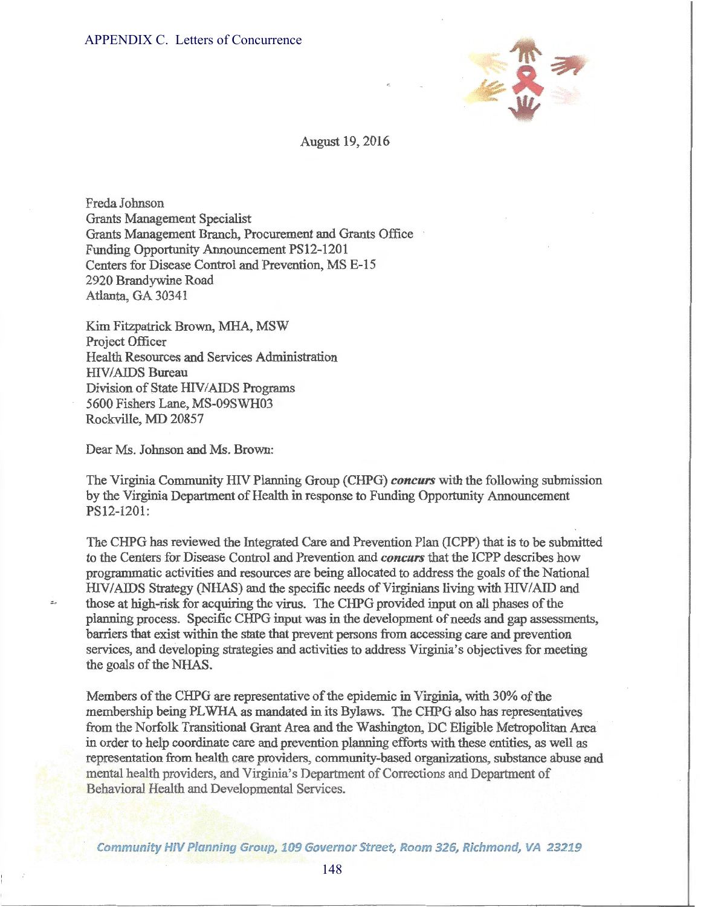

## August 19, 2016

Freda Johnson Grants Management Specialist Grants Management Branch, Procurement and Grants Office Funding Opportunity Announcement PS12-1201 Centers for Disease Control and Prevention, MS E-15 2920 Brandywine Road Atlanta, GA 30341

Kim Fitzpatrick Brown, MHA, MSW Project Officer Health Resources and Services Administration HIV/AIDS Bureau Division of State HIV/AIDS Programs 5600 Fishers Lane, MS-09SWH03 Rockville, MD 20857

Dear Ms. Johnson and Ms. Brown:

 $\tilde{z}$ 

The Virginia Community HIV Planning Group (CHPG) *concurs* with the following submission by the Virginia Department of Health in response to Funding Opportunity Announcement PS12-1201:

The CHPG has reviewed the Integrated Care and Prevention Plan (ICPP) that is to be submitted to the Centers for Disease Control and Prevention and *concurs* that the ICPP describes how programmatic activities and resources are being allocated to address the goals of the National HIV/AIDS Strategy (NHAS) and the specific needs of Virginians living with HIV/AID and those at high-risk for acquiring the virus. The CHPG provided input on all phases of the planning process. Specific CHPG input was in the development of needs and gap assessments, barriers that exist within the state that prevent persons from accessing care and prevention services, and developing strategies and activities to address Virginia's objectives for meeting the goals of the NHAS. APPENDIX C. Letters of Concurrence<br>
August<br>
August<br>
Creatis Management Specialist<br>
Armst Management Brack, Procurement and<br>
Grantis Management Parack, Procurement PS12-120<br>
Centers for Disease Control and Prevention, MS<br>
2

Members of the CHPG are representative of the epidemic in Virginia, with 30% of the membership being PL WHA as mandated in its Bylaws. The CHPG also has representatives from the Norfolk Transitional Grant Area and the Washington, DC Eligible Metropolitan Area in order to help coordinate care and prevention planning efforts with these entities, as well as representation from health care providers, community-based organizations, substance abuse and mental health providers, and Virginia's Department of Corrections and Department of Behavioral Health and Developmental Services.

Community HIV Planning Group, 109 Governor Street, Room 326, Richmond, VA 23219